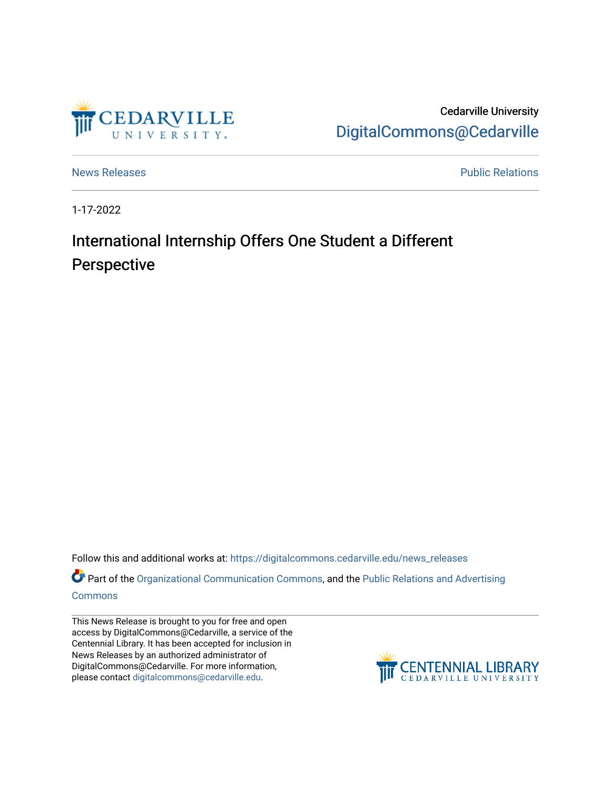

Cedarville University [DigitalCommons@Cedarville](https://digitalcommons.cedarville.edu/) 

[News Releases](https://digitalcommons.cedarville.edu/news_releases) **Public Relations Public Relations** 

1-17-2022

## International Internship Offers One Student a Different Perspective

Follow this and additional works at: [https://digitalcommons.cedarville.edu/news\\_releases](https://digitalcommons.cedarville.edu/news_releases?utm_source=digitalcommons.cedarville.edu%2Fnews_releases%2F1480&utm_medium=PDF&utm_campaign=PDFCoverPages) 

Part of the [Organizational Communication Commons](http://network.bepress.com/hgg/discipline/335?utm_source=digitalcommons.cedarville.edu%2Fnews_releases%2F1480&utm_medium=PDF&utm_campaign=PDFCoverPages), and the [Public Relations and Advertising](http://network.bepress.com/hgg/discipline/336?utm_source=digitalcommons.cedarville.edu%2Fnews_releases%2F1480&utm_medium=PDF&utm_campaign=PDFCoverPages)  [Commons](http://network.bepress.com/hgg/discipline/336?utm_source=digitalcommons.cedarville.edu%2Fnews_releases%2F1480&utm_medium=PDF&utm_campaign=PDFCoverPages)

This News Release is brought to you for free and open access by DigitalCommons@Cedarville, a service of the Centennial Library. It has been accepted for inclusion in News Releases by an authorized administrator of DigitalCommons@Cedarville. For more information, please contact [digitalcommons@cedarville.edu](mailto:digitalcommons@cedarville.edu).

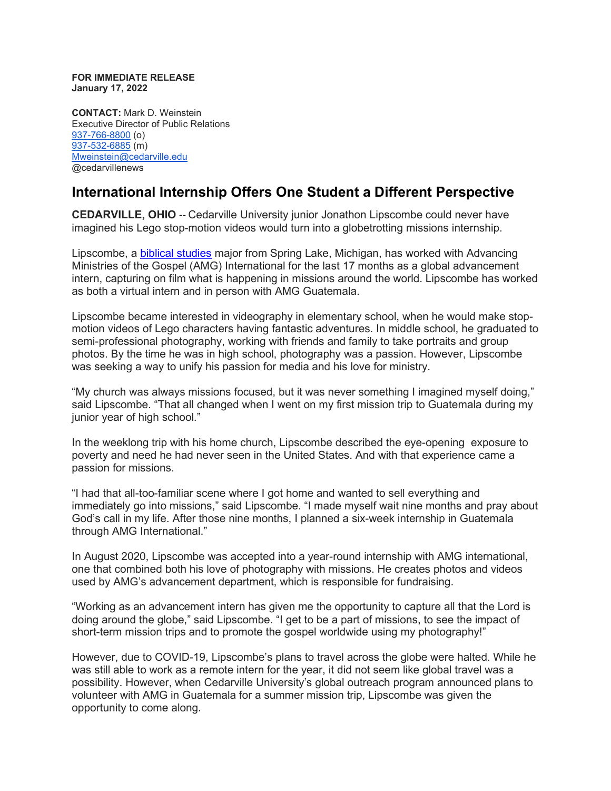**FOR IMMEDIATE RELEASE January 17, 2022**

**CONTACT:** Mark D. Weinstein Executive Director of Public Relations [937-766-8800](tel:937-766-8800) (o) [937-532-6885](tel:937-532-6885) (m) [Mweinstein@cedarville.edu](mailto:Mweinstein@cedarville.edu) @cedarvillenews

## **International Internship Offers One Student a Different Perspective**

**CEDARVILLE, OHIO --** Cedarville University junior Jonathon Lipscombe could never have imagined his Lego stop-motion videos would turn into a globetrotting missions internship.

Lipscombe, a [biblical studies](https://www.cedarville.edu/academic-programs/biblical-studies) major from Spring Lake, Michigan, has worked with Advancing Ministries of the Gospel (AMG) International for the last 17 months as a global advancement intern, capturing on film what is happening in missions around the world. Lipscombe has worked as both a virtual intern and in person with AMG Guatemala.

Lipscombe became interested in videography in elementary school, when he would make stopmotion videos of Lego characters having fantastic adventures. In middle school, he graduated to semi-professional photography, working with friends and family to take portraits and group photos. By the time he was in high school, photography was a passion. However, Lipscombe was seeking a way to unify his passion for media and his love for ministry.

"My church was always missions focused, but it was never something I imagined myself doing," said Lipscombe. "That all changed when I went on my first mission trip to Guatemala during my junior year of high school."

In the weeklong trip with his home church, Lipscombe described the eye-opening exposure to poverty and need he had never seen in the United States. And with that experience came a passion for missions.

"I had that all-too-familiar scene where I got home and wanted to sell everything and immediately go into missions," said Lipscombe. "I made myself wait nine months and pray about God's call in my life. After those nine months, I planned a six-week internship in Guatemala through AMG International."

In August 2020, Lipscombe was accepted into a year-round internship with AMG international, one that combined both his love of photography with missions. He creates photos and videos used by AMG's advancement department, which is responsible for fundraising.

"Working as an advancement intern has given me the opportunity to capture all that the Lord is doing around the globe," said Lipscombe. "I get to be a part of missions, to see the impact of short-term mission trips and to promote the gospel worldwide using my photography!"

However, due to COVID-19, Lipscombe's plans to travel across the globe were halted. While he was still able to work as a remote intern for the year, it did not seem like global travel was a possibility. However, when Cedarville University's global outreach program announced plans to volunteer with AMG in Guatemala for a summer mission trip, Lipscombe was given the opportunity to come along.